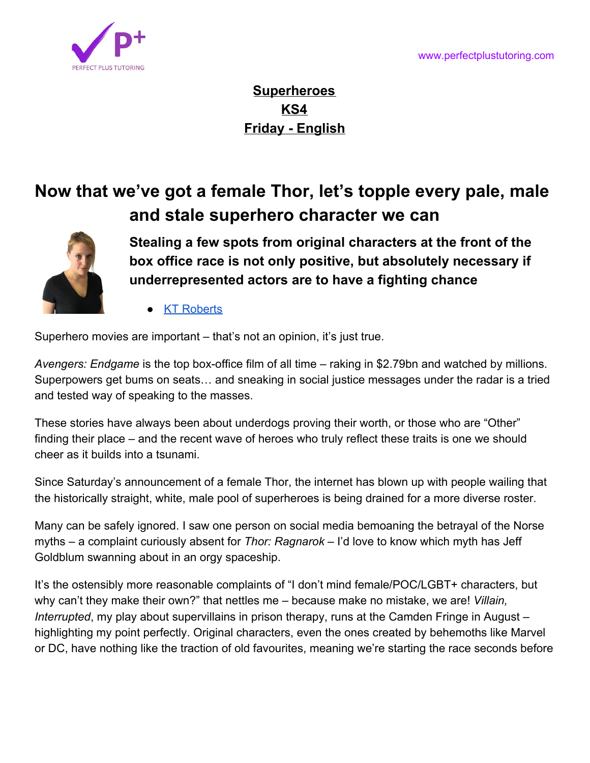

**Superheroes KS4 Friday - English**

## **Now that we've got a female Thor, let's topple every pale, male and stale superhero character we can**



**Stealing a few spots from original characters at the front of the box office race is not only positive, but absolutely necessary if underrepresented actors are to have a fighting chance**

**[KT Roberts](https://www.independent.co.uk/author/kt-roberts)** 

Superhero movies are important – that's not an opinion, it's just true.

*[Avengers: Endgame](https://www.independent.co.uk/topic/avengers-endgame)* is the [top box-office film of all time](https://www.independent.co.uk/arts-entertainment/films/news/avengers-endgame-avatar-box-office-record-marvel-mcu-russo-brothers-comic-con-a9014191.html) – raking in \$2.79bn and watched by millions. Superpowers get bums on seats… and sneaking in social justice messages under the radar is a tried and tested way of speaking to the masses.

These stories have always been about underdogs proving their worth, or those who are "Other" finding their place – and the recent wave of heroes who truly reflect these traits is one we should cheer as it builds into a tsunami.

Since Saturday's announcement of a [female Thor](https://www.independent.co.uk/arts-entertainment/films/news/natalie-portman-marvel-films-thor-4-mcu-comiccon-phase-four-release-slate-love-and-thunder-trailer-a9014101.html), the internet has blown up with people wailing that the historically straight, white, male pool of superheroes is being drained for a more diverse roster.

Many can be safely ignored. I saw one person on social media bemoaning the betrayal of the Norse myths – a complaint curiously absent for *[Thor: Ragnarok](https://www.independent.co.uk/topic/thor-ragnarok)* – I'd love to know which myth has [Jeff](https://www.independent.co.uk/topic/jeff-goldblum) [Goldblum](https://www.independent.co.uk/topic/jeff-goldblum) swanning about in an orgy spaceship.

It's the ostensibly more reasonable complaints of "I don't mind female/POC/LGBT+ characters, but why can't they make their own?" that nettles me – because make no mistake, we are! *Villain, Interrupted*, my play about supervillains in prison therapy, runs at the Camden Fringe in August – highlighting my point perfectly. Original characters, even the ones created by behemoths like [Marvel](https://www.independent.co.uk/topic/marvel) o[r DC,](https://www.independent.co.uk/topic/DCComics) have nothing like the traction of old favourites, meaning we're starting the race seconds before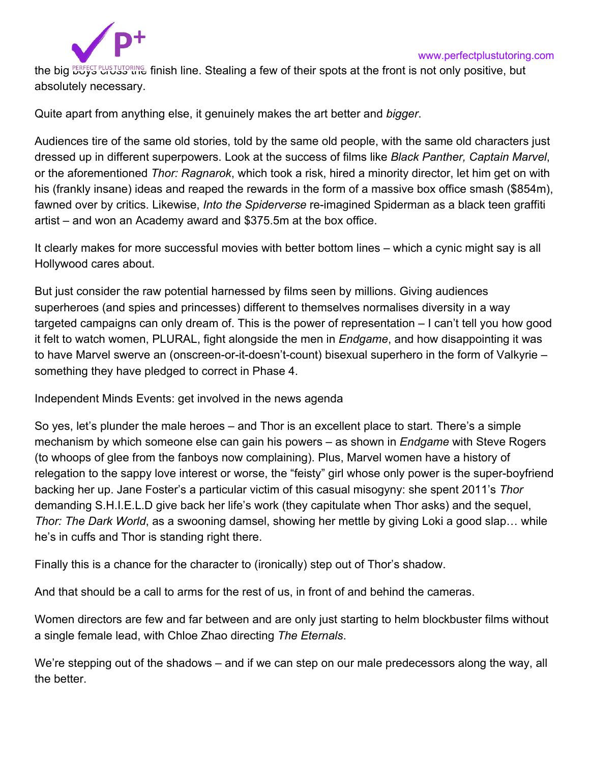

the big **ERFECT PLUS TUTORING** finish line. Stealing a few of their spots at the front is not only positive, but absolutely necessary.

Quite apart from anything else, it genuinely makes the art better and *bigger*.

Audiences tire of the same old stories, told by the same old people, with the same old characters just dressed up in different superpowers. Look at the success of films like *[Black Panther](https://www.independent.co.uk/topic/black-panther), [Captain Marvel](https://www.independent.co.uk/topic/captain-marvel)*, or the aforementioned *Thor: Ragnarok*, which took a risk, hired a minority director, let him get on with his (frankly insane) ideas and reaped the rewards in the form of a massive box office smash ([\\$854m\)](https://www.hollywoodreporter.com/heat-vision/will-thor-4-introduce-fan-favorite-hero-beta-ray-bill-1224708), fawned over by critics. Likewise, *[Into the Spiderverse](https://www.independent.co.uk/arts-entertainment/films/reviews/spider-man-spider-verse-review-live-action-marvel-comic-book-movies-soundtrack-a8679761.html)* re-imagined Spiderman as a black teen graffiti artist – and won an Academy award and \$375.5m at the box office.

It clearly makes for more successful movies with better bottom lines – which a cynic might say is all Hollywood cares about.

But just consider the raw potential harnessed by films seen by millions. Giving audiences superheroes (and spies and princesses) different to themselves normalises diversity in a way targeted campaigns can only dream of. This is the power of representation – I can't tell you how good it felt to watch women, PLURAL, fight alongside the men in *Endgame*, and how disappointing it was to have Marvel swerve an (onscreen-or-it-doesn't-count) bisexual superhero in the form of Valkyrie – something they have pledged t[o correct in Phase 4](https://www.indiewire.com/2019/07/marvel-gay-superhero-valkyrie-tessa-thompson-thor-lgbt-1202159737/).

Independent Minds Events: get involved in the news agenda

So yes, let's plunder the male heroes – and Thor is an excellent place to start. There's a simple mechanism by which someone else can gain his powers – as shown in *Endgame* with Steve Rogers (to whoops of glee from the fanboys now complaining). Plus, Marvel women have a history of relegation to the sappy love interest or worse, the "feisty" girl whose only power is the super-boyfriend backing her up. Jane Foster's a particular victim of this casual misogyny: she spent 2011's *Thor* demanding S.H.I.E.L.D give back her life's work (they capitulate when Thor asks) and the sequel, *Thor: The Dark World*, as a swooning damsel, showing her mettle by giving Loki a good slap… while he's in cuffs and Thor is standing right there.

Finally this is a chance for the character to (ironically) step out of Thor's shadow.

And that should be a call to arms for the rest of us, in front of and behind the cameras.

Women directors are few and far between and are only just starting to helm blockbuster films without a single female lead, with Chloe Zhao directing *The Eternals*.

We're stepping out of the shadows – and if we can step on our male predecessors along the way, all the better.